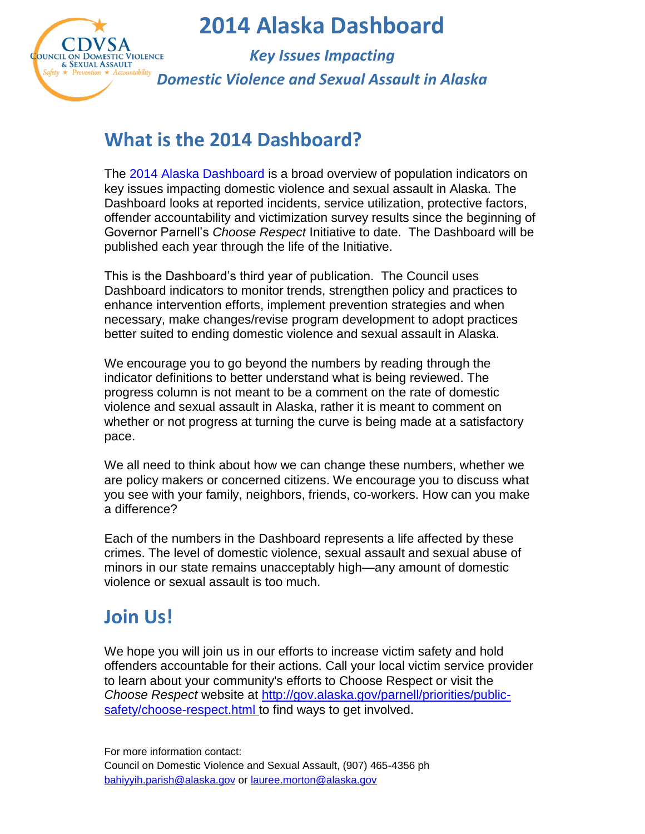

*Key Issues Impacting Domestic Violence and Sexual Assault in Alaska*

## **What is the 2014 Dashboard?**

The 2014 Alaska Dashboard is a broad overview of population indicators on key issues impacting domestic violence and sexual assault in Alaska. The Dashboard looks at reported incidents, service utilization, protective factors, offender accountability and victimization survey results since the beginning of Governor Parnell's *Choose Respect* Initiative to date. The Dashboard will be published each year through the life of the Initiative.

This is the Dashboard's third year of publication. The Council uses Dashboard indicators to monitor trends, strengthen policy and practices to enhance intervention efforts, implement prevention strategies and when necessary, make changes/revise program development to adopt practices better suited to ending domestic violence and sexual assault in Alaska.

We encourage you to go beyond the numbers by reading through the indicator definitions to better understand what is being reviewed. The progress column is not meant to be a comment on the rate of domestic violence and sexual assault in Alaska, rather it is meant to comment on whether or not progress at turning the curve is being made at a satisfactory pace.

We all need to think about how we can change these numbers, whether we are policy makers or concerned citizens. We encourage you to discuss what you see with your family, neighbors, friends, co-workers. How can you make a difference?

Each of the numbers in the Dashboard represents a life affected by these crimes. The level of domestic violence, sexual assault and sexual abuse of minors in our state remains unacceptably high—any amount of domestic violence or sexual assault is too much.

## **Join Us!**

We hope you will join us in our efforts to increase victim safety and hold offenders accountable for their actions. Call your local victim service provider to learn about your community's efforts to Choose Respect or visit the *Choose Respect* website at [http://gov.alaska.gov/parnell/priorities/public](http://gov.alaska.gov/parnell/priorities/public-safety/choose-respect.html)[safety/choose-respect.html](http://gov.alaska.gov/parnell/priorities/public-safety/choose-respect.html) to find ways to get involved.

For more information contact: Council on Domestic Violence and Sexual Assault, (907) 465-4356 ph [bahiyyih.parish@alaska.gov](mailto:bahiyyih.parish@alaska.gov) or [lauree.morton@alaska.gov](mailto:lauree.morton@alaska.gov)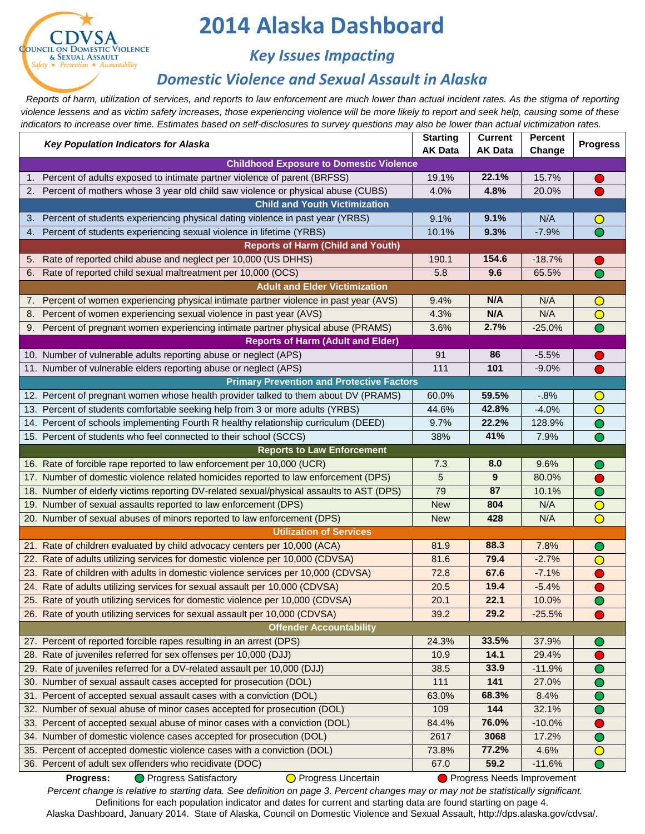

## *Key Issues Impacting*

## *Domestic Violence and Sexual Assault in Alaska*

 *Reports of harm, utilization of services, and reports to law enforcement are much lower than actual incident rates. As the stigma of reporting violence lessens and as victim safety increases, those experiencing violence will be more likely to report and seek help, causing some of these indicators to increase over time. Estimates based on self-disclosures to survey questions may also be lower than actual victimization rates.*

<span id="page-1-15"></span><span id="page-1-14"></span><span id="page-1-13"></span><span id="page-1-12"></span><span id="page-1-11"></span><span id="page-1-10"></span><span id="page-1-9"></span><span id="page-1-8"></span><span id="page-1-7"></span><span id="page-1-6"></span><span id="page-1-5"></span><span id="page-1-4"></span><span id="page-1-3"></span><span id="page-1-2"></span><span id="page-1-1"></span><span id="page-1-0"></span>

|      | Key Population Indicators for Alaska                                                     | <b>Starting</b><br><b>AK Data</b> | <b>Current</b><br><b>AK Data</b> | Percent<br>Change | <b>Progress</b>         |  |  |  |
|------|------------------------------------------------------------------------------------------|-----------------------------------|----------------------------------|-------------------|-------------------------|--|--|--|
|      | <b>Childhood Exposure to Domestic Violence</b>                                           |                                   |                                  |                   |                         |  |  |  |
| 1.   | Percent of adults exposed to intimate partner violence of parent (BRFSS)                 | 19.1%                             | 22.1%                            | 15.7%             |                         |  |  |  |
|      | 2. Percent of mothers whose 3 year old child saw violence or physical abuse (CUBS)       | 4.0%                              | 4.8%                             | 20.0%             |                         |  |  |  |
|      | <b>Child and Youth Victimization</b>                                                     |                                   |                                  |                   |                         |  |  |  |
| 3. . | Percent of students experiencing physical dating violence in past year (YRBS)            | 9.1%                              | 9.1%                             | N/A               |                         |  |  |  |
|      | 4. Percent of students experiencing sexual violence in lifetime (YRBS)                   | 10.1%                             | 9.3%                             | $-7.9%$           | $\overline{\bullet}$    |  |  |  |
|      | <b>Reports of Harm (Child and Youth)</b>                                                 |                                   |                                  |                   |                         |  |  |  |
| 5.   | Rate of reported child abuse and neglect per 10,000 (US DHHS)                            | 190.1                             | 154.6                            | $-18.7%$          |                         |  |  |  |
| 6.   | Rate of reported child sexual maltreatment per 10,000 (OCS)                              | 5.8                               | 9.6                              | 65.5%             | $\bullet$               |  |  |  |
|      | <b>Adult and Elder Victimization</b>                                                     |                                   |                                  |                   |                         |  |  |  |
| 7.   | Percent of women experiencing physical intimate partner violence in past year (AVS)      | 9.4%                              | N/A                              | N/A               | $\mathbf{\mathsf{O}}$   |  |  |  |
| 8.   | Percent of women experiencing sexual violence in past year (AVS)                         | 4.3%                              | N/A                              | N/A               | $\overline{O}$          |  |  |  |
|      | 9. Percent of pregnant women experiencing intimate partner physical abuse (PRAMS)        | 3.6%                              | 2.7%                             | $-25.0%$          | $\overline{\mathbf{O}}$ |  |  |  |
|      | <b>Reports of Harm (Adult and Elder)</b>                                                 |                                   |                                  |                   |                         |  |  |  |
|      | 10. Number of vulnerable adults reporting abuse or neglect (APS)                         | 91                                | 86                               | $-5.5%$           |                         |  |  |  |
|      | 11. Number of vulnerable elders reporting abuse or neglect (APS)                         | 111                               | 101                              | $-9.0%$           |                         |  |  |  |
|      | <b>Primary Prevention and Protective Factors</b>                                         |                                   |                                  |                   |                         |  |  |  |
|      | 12. Percent of pregnant women whose health provider talked to them about DV (PRAMS)      | 60.0%                             | 59.5%                            | $-0.8%$           | $\bigcirc$              |  |  |  |
|      | 13. Percent of students comfortable seeking help from 3 or more adults (YRBS)            | 44.6%                             | 42.8%                            | $-4.0%$           | $\bigcirc$              |  |  |  |
|      | 14. Percent of schools implementing Fourth R healthy relationship curriculum (DEED)      | 9.7%                              | 22.2%                            | 128.9%            | ∩                       |  |  |  |
|      | 15. Percent of students who feel connected to their school (SCCS)                        | 38%                               | 41%                              | 7.9%              | ∩                       |  |  |  |
|      | <b>Reports to Law Enforcement</b>                                                        |                                   |                                  |                   |                         |  |  |  |
|      | 16. Rate of forcible rape reported to law enforcement per 10,000 (UCR)                   | 7.3                               | 8.0                              | 9.6%              | $\cup$                  |  |  |  |
|      | 17. Number of domestic violence related homicides reported to law enforcement (DPS)      | 5                                 | 9                                | 80.0%             |                         |  |  |  |
|      | 18. Number of elderly victims reporting DV-related sexual/physical assaults to AST (DPS) | 79                                | 87                               | 10.1%             | ∩                       |  |  |  |
|      | 19. Number of sexual assaults reported to law enforcement (DPS)                          | <b>New</b>                        | 804                              | N/A               | $\bigcirc$              |  |  |  |
|      | 20. Number of sexual abuses of minors reported to law enforcement (DPS)                  | <b>New</b>                        | 428                              | N/A               | $\bigcirc$              |  |  |  |
|      | <b>Utilization of Services</b>                                                           |                                   |                                  |                   |                         |  |  |  |
|      | 21. Rate of children evaluated by child advocacy centers per 10,000 (ACA)                | 81.9                              | 88.3                             | 7.8%              | O                       |  |  |  |
|      | 22. Rate of adults utilizing services for domestic violence per 10,000 (CDVSA)           | 81.6                              | 79.4                             | $-2.7%$           | $\bigcirc$              |  |  |  |
|      | 23. Rate of children with adults in domestic violence services per 10,000 (CDVSA)        | 72.8                              | 67.6                             | $-7.1%$           |                         |  |  |  |
|      | 24. Rate of adults utilizing services for sexual assault per 10,000 (CDVSA)              | 20.5                              | 19.4                             | $-5.4%$           |                         |  |  |  |
|      | 25. Rate of youth utilizing services for domestic violence per 10,000 (CDVSA)            | 20.1                              | 22.1                             | 10.0%             |                         |  |  |  |
|      | 26. Rate of youth utilizing services for sexual assault per 10,000 (CDVSA)               | 39.2                              | 29.2                             | $-25.5%$          |                         |  |  |  |
|      | <b>Offender Accountability</b>                                                           |                                   |                                  |                   |                         |  |  |  |
|      | 27. Percent of reported forcible rapes resulting in an arrest (DPS)                      | 24.3%                             | 33.5%                            | 37.9%             |                         |  |  |  |
| 28.  | Rate of juveniles referred for sex offenses per 10,000 (DJJ)                             | 10.9                              | 14.1                             | 29.4%             |                         |  |  |  |
| 29.  | Rate of juveniles referred for a DV-related assault per 10,000 (DJJ)                     | 38.5                              | 33.9                             | $-11.9%$          |                         |  |  |  |
| 30.  | Number of sexual assault cases accepted for prosecution (DOL)                            | 111                               | 141                              | 27.0%             |                         |  |  |  |
| 31.  | Percent of accepted sexual assault cases with a conviction (DOL)                         | 63.0%                             | 68.3%                            | 8.4%              |                         |  |  |  |
| 32.  | Number of sexual abuse of minor cases accepted for prosecution (DOL)                     | 109                               | 144                              | 32.1%             |                         |  |  |  |
| 33.  | Percent of accepted sexual abuse of minor cases with a conviction (DOL)                  | 84.4%                             | 76.0%                            | $-10.0%$          |                         |  |  |  |
| 34.  | Number of domestic violence cases accepted for prosecution (DOL)                         | 2617                              | 3068                             | 17.2%             |                         |  |  |  |
|      | 35. Percent of accepted domestic violence cases with a conviction (DOL)                  | 73.8%                             | 77.2%                            | 4.6%              | Ő                       |  |  |  |
|      | 36. Percent of adult sex offenders who recidivate (DOC)                                  | 67.0                              | 59.2                             | $-11.6%$          | ●                       |  |  |  |

<span id="page-1-36"></span><span id="page-1-35"></span><span id="page-1-34"></span><span id="page-1-33"></span><span id="page-1-32"></span><span id="page-1-31"></span><span id="page-1-30"></span><span id="page-1-29"></span><span id="page-1-28"></span><span id="page-1-27"></span><span id="page-1-26"></span><span id="page-1-25"></span><span id="page-1-24"></span><span id="page-1-23"></span><span id="page-1-22"></span><span id="page-1-21"></span><span id="page-1-20"></span><span id="page-1-19"></span><span id="page-1-18"></span><span id="page-1-17"></span><span id="page-1-16"></span>Definitions for each population indicator and dates for current and starting data are found starting on page 4. Alaska Dashboard, January 2014. State of Alaska, Council on Domestic Violence and Sexual Assault, http://dps.alaska.gov/cdvsa/. **Progress:** Progress Satisfactory **Delayer Progress Uncertain** Progress Needs Improvement *Percent change is relative to starting data. See definition on page 3. Percent changes may or may not be statistically significant.*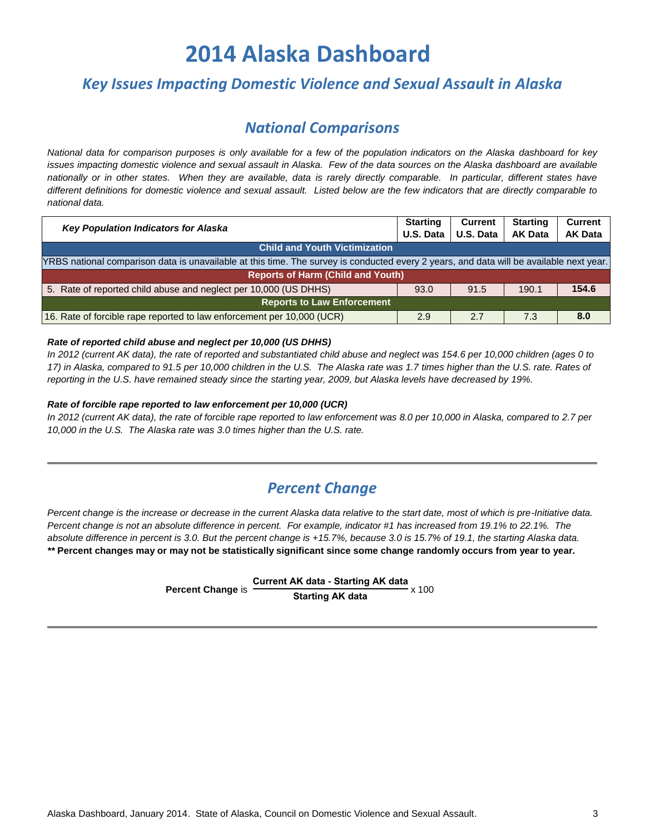### *Key Issues Impacting Domestic Violence and Sexual Assault in Alaska*

### *National Comparisons*

*National data for comparison purposes is only available for a few of the population indicators on the Alaska dashboard for key issues impacting domestic violence and sexual assault in Alaska. Few of the data sources on the Alaska dashboard are available nationally or in other states. When they are available, data is rarely directly comparable. In particular, different states have different definitions for domestic violence and sexual assault. Listed below are the few indicators that are directly comparable to national data.*

| <b>Key Population Indicators for Alaska</b><br>U.S. Data                                                                                |      | Current   | <b>Starting</b> | <b>Current</b> |  |  |  |
|-----------------------------------------------------------------------------------------------------------------------------------------|------|-----------|-----------------|----------------|--|--|--|
|                                                                                                                                         |      | U.S. Data | <b>AK Data</b>  | <b>AK Data</b> |  |  |  |
| <b>Child and Youth Victimization</b>                                                                                                    |      |           |                 |                |  |  |  |
| YRBS national comparison data is unavailable at this time. The survey is conducted every 2 years, and data will be available next year. |      |           |                 |                |  |  |  |
| <b>Reports of Harm (Child and Youth)</b>                                                                                                |      |           |                 |                |  |  |  |
| 5. Rate of reported child abuse and neglect per 10,000 (US DHHS)                                                                        | 93.0 | 91.5      | 190.1           | 154.6          |  |  |  |
| <b>Reports to Law Enforcement</b>                                                                                                       |      |           |                 |                |  |  |  |
| 16. Rate of forcible rape reported to law enforcement per 10,000 (UCR)                                                                  | 2.9  | 2.7       | 7.3             | 8.0            |  |  |  |

#### *[Rate of reported child abuse and neglect per 10,000 \(US DHHS\)](#page-4-1)*

*In 2012 (current AK data), the rate of reported and substantiated child abuse and neglect was 154.6 per 10,000 children (ages 0 to 17) in Alaska, compared to 91.5 per 10,000 children in the U.S. The Alaska rate was 1.7 times higher than the U.S. rate. Rates of reporting in the U.S. have remained steady since the starting year, 2009, but Alaska levels have decreased by 19%.*

#### *[Rate of forcible rape reported to law enforcement per 10,000 \(UCR\)](#page-7-1)*

*In 2012 (current AK data), the rate of forcible rape reported to law enforcement was 8.0 per 10,000 in Alaska, compared to 2.7 per 10,000 in the U.S. The Alaska rate was 3.0 times higher than the U.S. rate.*

### *Percent Change*

*Percent change is the increase or decrease in the current Alaska data relative to the start date, most of which is pre-Initiative data. Percent change is not an absolute difference in percent. For example, indicator #1 has increased from 19.1% to 22.1%. The absolute difference in percent is 3.0. But the percent change is +15.7%, because 3.0 is 15.7% of 19.1, the starting Alaska data. \*\** **Percent changes may or may not be statistically significant since some change randomly occurs from year to year.**

> **Percent Change** is **Current AK data - Starting AK data Starting AK data** x 100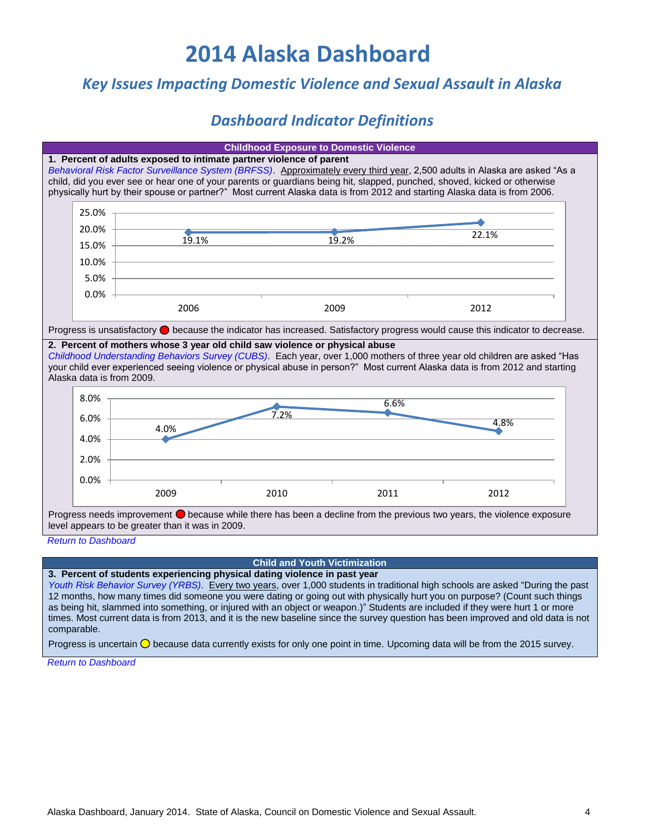### *Key Issues Impacting Domestic Violence and Sexual Assault in Alaska*

## *Dashboard Indicator Definitions*

<span id="page-3-1"></span><span id="page-3-0"></span>

| <b>Childhood Exposure to Domestic Violence</b>                                                                                                                                                                                                                                                                                                                       |       |                                                                     |       |                                                                                                                                                                                                                                                                                                                                                                                      |  |  |  |  |
|----------------------------------------------------------------------------------------------------------------------------------------------------------------------------------------------------------------------------------------------------------------------------------------------------------------------------------------------------------------------|-------|---------------------------------------------------------------------|-------|--------------------------------------------------------------------------------------------------------------------------------------------------------------------------------------------------------------------------------------------------------------------------------------------------------------------------------------------------------------------------------------|--|--|--|--|
|                                                                                                                                                                                                                                                                                                                                                                      |       | 1. Percent of adults exposed to intimate partner violence of parent |       | Behavioral Risk Factor Surveillance System (BRFSS). Approximately every third year, 2,500 adults in Alaska are asked "As a<br>child, did you ever see or hear one of your parents or guardians being hit, slapped, punched, shoved, kicked or otherwise<br>physically hurt by their spouse or partner?" Most current Alaska data is from 2012 and starting Alaska data is from 2006. |  |  |  |  |
| 25.0%                                                                                                                                                                                                                                                                                                                                                                |       |                                                                     |       |                                                                                                                                                                                                                                                                                                                                                                                      |  |  |  |  |
| 20.0%                                                                                                                                                                                                                                                                                                                                                                |       |                                                                     |       |                                                                                                                                                                                                                                                                                                                                                                                      |  |  |  |  |
| 15.0%                                                                                                                                                                                                                                                                                                                                                                | 19.1% |                                                                     | 19.2% | 22.1%                                                                                                                                                                                                                                                                                                                                                                                |  |  |  |  |
| 10.0%                                                                                                                                                                                                                                                                                                                                                                |       |                                                                     |       |                                                                                                                                                                                                                                                                                                                                                                                      |  |  |  |  |
| 5.0%                                                                                                                                                                                                                                                                                                                                                                 |       |                                                                     |       |                                                                                                                                                                                                                                                                                                                                                                                      |  |  |  |  |
| 0.0%                                                                                                                                                                                                                                                                                                                                                                 |       |                                                                     |       |                                                                                                                                                                                                                                                                                                                                                                                      |  |  |  |  |
|                                                                                                                                                                                                                                                                                                                                                                      | 2006  |                                                                     | 2009  | 2012                                                                                                                                                                                                                                                                                                                                                                                 |  |  |  |  |
|                                                                                                                                                                                                                                                                                                                                                                      |       |                                                                     |       | Progress is unsatisfactory ● because the indicator has increased. Satisfactory progress would cause this indicator to decrease.                                                                                                                                                                                                                                                      |  |  |  |  |
| 2. Percent of mothers whose 3 year old child saw violence or physical abuse<br>Childhood Understanding Behaviors Survey (CUBS). Each year, over 1,000 mothers of three year old children are asked "Has<br>your child ever experienced seeing violence or physical abuse in person?" Most current Alaska data is from 2012 and starting<br>Alaska data is from 2009. |       |                                                                     |       |                                                                                                                                                                                                                                                                                                                                                                                      |  |  |  |  |
| 8.0%                                                                                                                                                                                                                                                                                                                                                                 | 6.6%  |                                                                     |       |                                                                                                                                                                                                                                                                                                                                                                                      |  |  |  |  |
| 6.0%                                                                                                                                                                                                                                                                                                                                                                 | 7.2%  |                                                                     |       |                                                                                                                                                                                                                                                                                                                                                                                      |  |  |  |  |
| 4.0%                                                                                                                                                                                                                                                                                                                                                                 | 4.0%  |                                                                     |       | 4.8%                                                                                                                                                                                                                                                                                                                                                                                 |  |  |  |  |
|                                                                                                                                                                                                                                                                                                                                                                      |       |                                                                     |       |                                                                                                                                                                                                                                                                                                                                                                                      |  |  |  |  |
| 2.0%                                                                                                                                                                                                                                                                                                                                                                 |       |                                                                     |       |                                                                                                                                                                                                                                                                                                                                                                                      |  |  |  |  |
| 0.0%                                                                                                                                                                                                                                                                                                                                                                 |       |                                                                     |       |                                                                                                                                                                                                                                                                                                                                                                                      |  |  |  |  |
|                                                                                                                                                                                                                                                                                                                                                                      | 2009  | 2010                                                                | 2011  | 2012                                                                                                                                                                                                                                                                                                                                                                                 |  |  |  |  |
| level appears to be greater than it was in 2009.                                                                                                                                                                                                                                                                                                                     |       |                                                                     |       | Progress needs improvement $\bullet$ because while there has been a decline from the previous two years, the violence exposure                                                                                                                                                                                                                                                       |  |  |  |  |
| <b>Return to Dashboard</b>                                                                                                                                                                                                                                                                                                                                           |       |                                                                     |       |                                                                                                                                                                                                                                                                                                                                                                                      |  |  |  |  |

**Child and Youth Victimization**

<span id="page-3-2"></span>**[3. Percent of students experiencing physical dating violence in past year](#page-1-3)** *[Youth Risk Behavior Survey \(YRBS\)](http://dhss.alaska.gov/dph/Chronic/Pages/yrbs/yrbs.aspx)*. Every two years, over 1,000 students in traditional high schools are asked "During the past 12 months, how many times did someone you were dating or going out with physically hurt you on purpose? (Count such things as being hit, slammed into something, or injured with an object or weapon.)" Students are included if they were hurt 1 or more times. Most current data is from 2013, and it is the new baseline since the survey question has been improved and old data is not comparable.

Progress is uncertain  $\bigcirc$  because data currently exists for only one point in time. Upcoming data will be from the 2015 survey.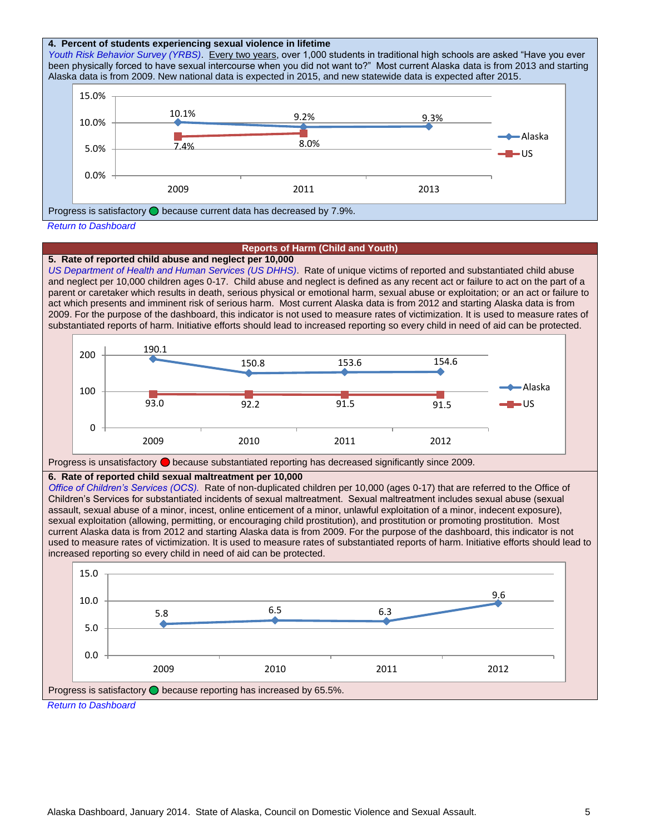#### <span id="page-4-0"></span>**[4. Percent of students experiencing sexual violence in lifetime](#page-1-4)**

*[Youth Risk Behavior Survey \(YRBS\)](http://dhss.alaska.gov/dph/Chronic/Pages/yrbs/yrbs.aspx)*. Every two years, over 1,000 students in traditional high schools are asked "Have you ever been physically forced to have sexual intercourse when you did not want to?" Most current Alaska data is from 2013 and starting Alaska data is from 2009. New national data is expected in 2015, and new statewide data is expected after 2015.



#### **Reports of Harm (Child and Youth)**

#### <span id="page-4-1"></span>**[5. Rate of reported child abuse and neglect per 10,000](#page-1-5)**

*[US Department of Health and Human Services](http://www.acf.hhs.gov/programs/cb/resource/child-maltreatment-2012) (US DHHS)*. Rate of unique victims of reported and substantiated child abuse and neglect per 10,000 children ages 0-17. Child abuse and neglect is defined as any recent act or failure to act on the part of a parent or caretaker which results in death, serious physical or emotional harm, sexual abuse or exploitation; or an act or failure to act which presents and imminent risk of serious harm. Most current Alaska data is from 2012 and starting Alaska data is from 2009. For the purpose of the dashboard, this indicator is not used to measure rates of victimization. It is used to measure rates of substantiated reports of harm. Initiative efforts should lead to increased reporting so every child in need of aid can be protected.





#### <span id="page-4-2"></span>**[6. Rate of reported child sexual maltreatment per 10,000](#page-1-6)**

*[Office of Children's Services \(OCS\).](http://dhss.alaska.gov/ocs/Pages/default.aspx)* Rate of non-duplicated children per 10,000 (ages 0-17) that are referred to the Office of Children's Services for substantiated incidents of sexual maltreatment. Sexual maltreatment includes sexual abuse (sexual assault, sexual abuse of a minor, incest, online enticement of a minor, unlawful exploitation of a minor, indecent exposure), sexual exploitation (allowing, permitting, or encouraging child prostitution), and prostitution or promoting prostitution. Most current Alaska data is from 2012 and starting Alaska data is from 2009. For the purpose of the dashboard, this indicator is not used to measure rates of victimization. It is used to measure rates of substantiated reports of harm. Initiative efforts should lead to increased reporting so every child in need of aid can be protected.

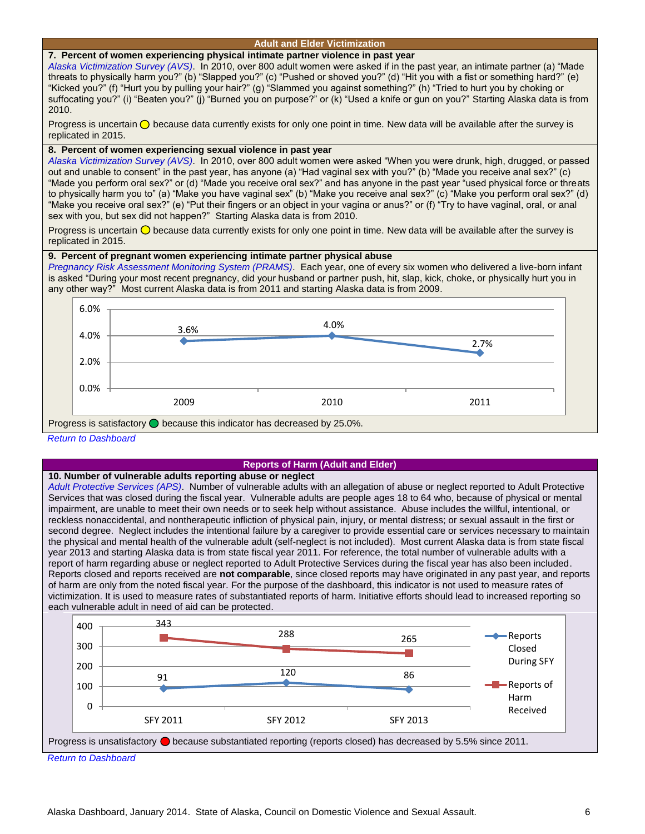#### **Adult and Elder Victimization**

#### <span id="page-5-2"></span><span id="page-5-0"></span>**[7. Percent of women experiencing physical intimate partner violence in past year](#page-1-7)**

*[Alaska Victimization Survey \(AVS\)](http://justice.uaa.alaska.edu/avs/)*. In 2010, over 800 adult women were asked if in the past year, an intimate partner (a) "Made threats to physically harm you?" (b) "Slapped you?" (c) "Pushed or shoved you?" (d) "Hit you with a fist or something hard?" (e) "Kicked you?" (f) "Hurt you by pulling your hair?" (g) "Slammed you against something?" (h) "Tried to hurt you by choking or suffocating you?" (i) "Beaten you?" (j) "Burned you on purpose?" or (k) "Used a knife or gun on you?" Starting Alaska data is from 2010.

Progress is uncertain  $\bigcirc$  because data currently exists for only one point in time. New data will be available after the survey is replicated in 2015.

#### <span id="page-5-1"></span>**[8. Percent of women experiencing sexual violence in past year](#page-1-8)**

*[Alaska Victimization Survey \(AVS\)](http://justice.uaa.alaska.edu/avs/)*. In 2010, over 800 adult women were asked "When you were drunk, high, drugged, or passed out and unable to consent" in the past year, has anyone (a) "Had vaginal sex with you?" (b) "Made you receive anal sex?" (c) "Made you perform oral sex?" or (d) "Made you receive oral sex?" and has anyone in the past year "used physical force or threats to physically harm you to" (a) "Make you have vaginal sex" (b) "Make you receive anal sex?" (c) "Make you perform oral sex?" (d) "Make you receive oral sex?" (e) "Put their fingers or an object in your vagina or anus?" or (f) "Try to have vaginal, oral, or anal sex with you, but sex did not happen?" Starting Alaska data is from 2010.

Progress is uncertain  $\bigcirc$  because data currently exists for only one point in time. New data will be available after the survey is replicated in 2015.

#### <span id="page-5-3"></span>**[9. Percent of pregnant women](#page-1-9) experiencing intimate partner physical abuse**

*[Pregnancy Risk Assessment Monitoring System \(PRAMS\)](http://www.epi.hss.state.ak.us/mchepi/prams/default.stm)*. Each year, one of every six women who delivered a live-born infant is asked "During your most recent pregnancy, did your husband or partner push, hit, slap, kick, choke, or physically hurt you in any other way?" Most current Alaska data is from 2011 and starting Alaska data is from 2009.



#### *[Return to Dashboard](#page-1-2)*

#### **Reports of Harm (Adult and Elder)**

#### **[10. Number of vulnerable adults reporting](#page-1-10) abuse or neglect**

*[Adult Protective Services \(APS\)](http://dhss.alaska.gov/dsds/Pages/aps/default.aspx)*. Number of vulnerable adults with an allegation of abuse or neglect reported to Adult Protective Services that was closed during the fiscal year. Vulnerable adults are people ages 18 to 64 who, because of physical or mental impairment, are unable to meet their own needs or to seek help without assistance. Abuse includes the willful, intentional, or reckless nonaccidental, and nontherapeutic infliction of physical pain, injury, or mental distress; or sexual assault in the first or second degree. Neglect includes the intentional failure by a caregiver to provide essential care or services necessary to maintain the physical and mental health of the vulnerable adult (self-neglect is not included). Most current Alaska data is from state fiscal year 2013 and starting Alaska data is from state fiscal year 2011. For reference, the total number of vulnerable adults with a report of harm regarding abuse or neglect reported to Adult Protective Services during the fiscal year has also been included. Reports closed and reports received are **not comparable**, since closed reports may have originated in any past year, and reports of harm are only from the noted fiscal year. For the purpose of the dashboard, this indicator is not used to measure rates of victimization. It is used to measure rates of substantiated reports of harm. Initiative efforts should lead to increased reporting so each vulnerable adult in need of aid can be protected.

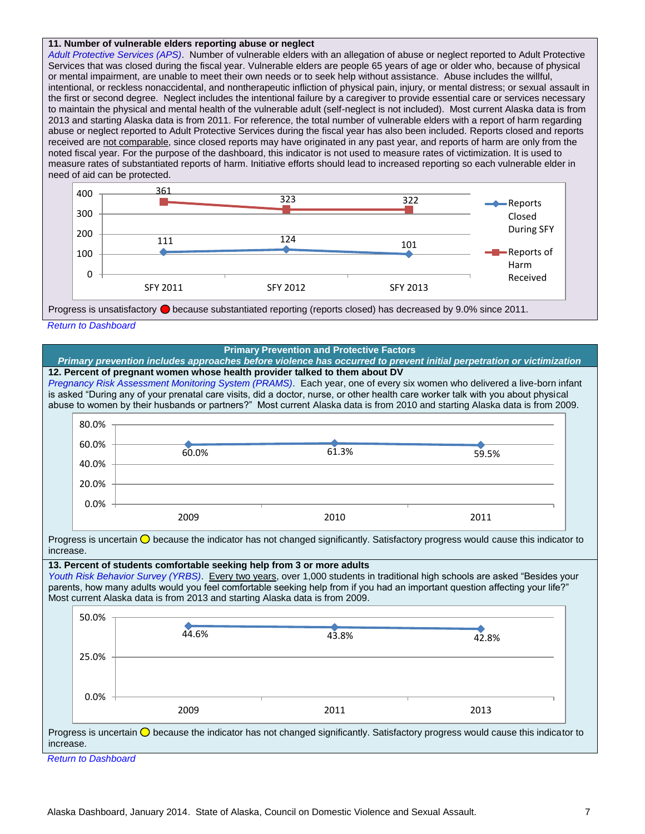#### <span id="page-6-0"></span>**[11. Number of vulnerable elders reporting abuse or neglect](#page-1-11)**

*[Adult Protective Services \(APS\)](http://dhss.alaska.gov/dsds/Pages/aps/default.aspx)*. Number of vulnerable elders with an allegation of abuse or neglect reported to Adult Protective Services that was closed during the fiscal year. Vulnerable elders are people 65 years of age or older who, because of physical or mental impairment, are unable to meet their own needs or to seek help without assistance. Abuse includes the willful, intentional, or reckless nonaccidental, and nontherapeutic infliction of physical pain, injury, or mental distress; or sexual assault in the first or second degree. Neglect includes the intentional failure by a caregiver to provide essential care or services necessary to maintain the physical and mental health of the vulnerable adult (self-neglect is not included). Most current Alaska data is from 2013 and starting Alaska data is from 2011. For reference, the total number of vulnerable elders with a report of harm regarding abuse or neglect reported to Adult Protective Services during the fiscal year has also been included. Reports closed and reports received are not comparable, since closed reports may have originated in any past year, and reports of harm are only from the noted fiscal year. For the purpose of the dashboard, this indicator is not used to measure rates of victimization. It is used to measure rates of substantiated reports of harm. Initiative efforts should lead to increased reporting so each vulnerable elder in need of aid can be protected.



*[Return to Dashboard](#page-1-2)*

<span id="page-6-2"></span><span id="page-6-1"></span>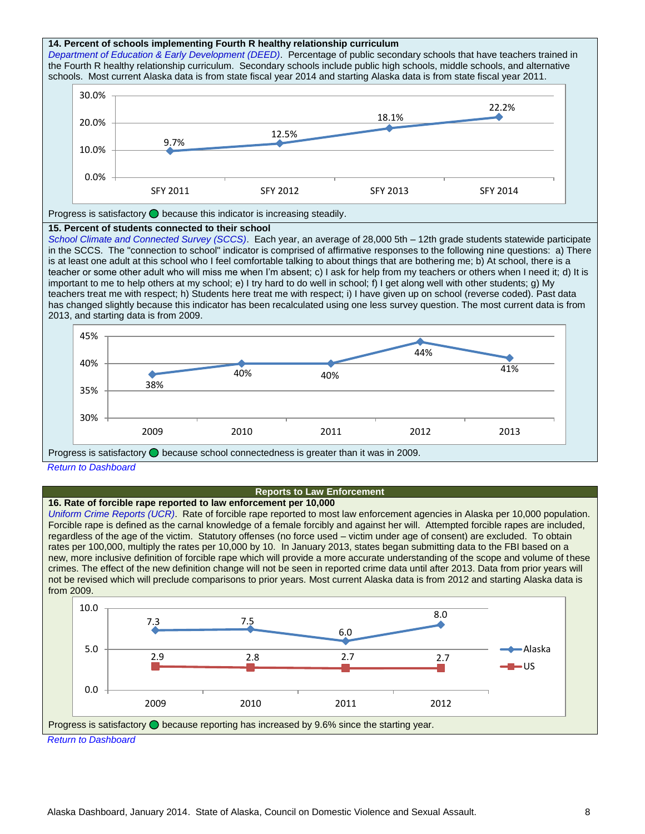<span id="page-7-0"></span>

<span id="page-7-1"></span>**[16. Rate of forcible rape reported to law enforcement per 10,000](#page-1-16)** *[Uniform Crime Reports \(UCR\)](http://www.fbi.gov/about-us/cjis/ucr)*. Rate of forcible rape reported to most law enforcement agencies in Alaska per 10,000 population. Forcible rape is defined as the carnal knowledge of a female forcibly and against her will. Attempted forcible rapes are included, regardless of the age of the victim. Statutory offenses (no force used – victim under age of consent) are excluded. To obtain rates per 100,000, multiply the rates per 10,000 by 10. In January 2013, states began submitting data to the FBI based on a new, more inclusive definition of forcible rape which will provide a more accurate understanding of the scope and volume of these crimes. The effect of the new definition change will not be seen in reported crime data until after 2013. Data from prior years will not be revised which will preclude comparisons to prior years. Most current Alaska data is from 2012 and starting Alaska data is from 2009.

**Reports to Law Enforcement**

2009 2010 2011 2012 2013

<span id="page-7-2"></span>

Progress is satisfactory  $\bigcirc$  because school connectedness is greater than it was in 2009.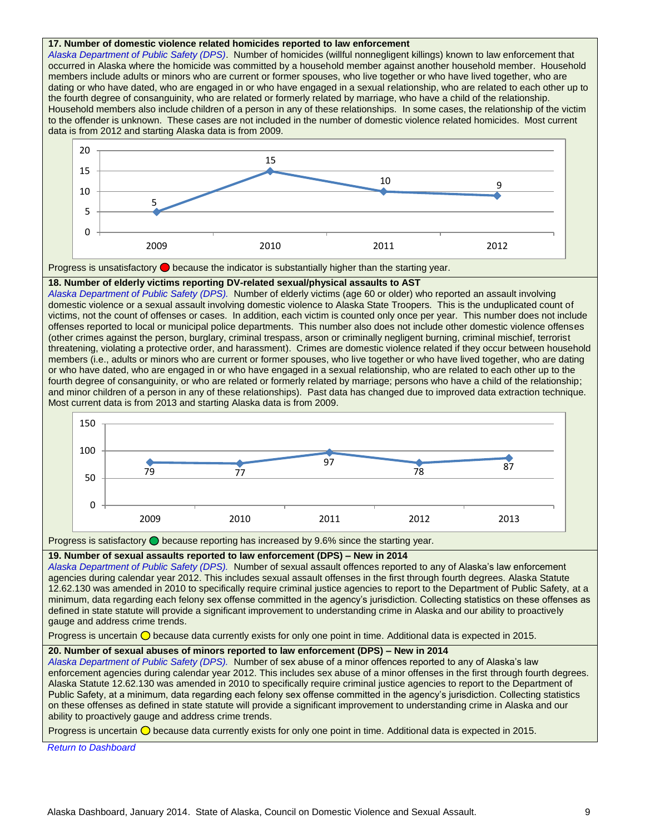#### **[17. Number of domestic violence related homicides](#page-1-17) reported to law enforcement**

*[Alaska Department of Public Safety \(DPS\)](http://dps.alaska.gov/)*. Number of homicides (willful nonnegligent killings) known to law enforcement that occurred in Alaska where the homicide was committed by a household member against another household member. Household members include adults or minors who are current or former spouses, who live together or who have lived together, who are dating or who have dated, who are engaged in or who have engaged in a sexual relationship, who are related to each other up to the fourth degree of consanguinity, who are related or formerly related by marriage, who have a child of the relationship. Household members also include children of a person in any of these relationships. In some cases, the relationship of the victim to the offender is unknown. These cases are not included in the number of domestic violence related homicides. Most current data is from 2012 and starting Alaska data is from 2009.





#### <span id="page-8-0"></span>**[18. Number of elderly victims reporting DV-related sexual/physical assaults to AST](#page-1-18)**

*[Alaska Department of Public Safety](http://dps.alaska.gov/) (DPS).* Number of elderly victims (age 60 or older) who reported an assault involving domestic violence or a sexual assault involving domestic violence to Alaska State Troopers. This is the unduplicated count of victims, not the count of offenses or cases. In addition, each victim is counted only once per year. This number does not include offenses reported to local or municipal police departments. This number also does not include other domestic violence offenses (other crimes against the person, burglary, criminal trespass, arson or criminally negligent burning, criminal mischief, terrorist threatening, violating a protective order, and harassment). Crimes are domestic violence related if they occur between household members (i.e., adults or minors who are current or former spouses, who live together or who have lived together, who are dating or who have dated, who are engaged in or who have engaged in a sexual relationship, who are related to each other up to the fourth degree of consanguinity, or who are related or formerly related by marriage; persons who have a child of the relationship; and minor children of a person in any of these relationships). Past data has changed due to improved data extraction technique. Most current data is from 2013 and starting Alaska data is from 2009.



Progress is satisfactory  $\bigcirc$  because reporting has increased by 9.6% since the starting year.

<span id="page-8-1"></span>**[19. Number of sexual assaults reported to law enforcement \(DPS\)](#page-1-19) – New in 2014**

*[Alaska Department of Public Safety \(DPS\).](http://dps.alaska.gov/)* Number of sexual assault offences reported to any of Alaska's law enforcement agencies during calendar year 2012. This includes sexual assault offenses in the first through fourth degrees. Alaska Statute 12.62.130 was amended in 2010 to specifically require criminal justice agencies to report to the Department of Public Safety, at a minimum, data regarding each felony sex offense committed in the agency's jurisdiction. Collecting statistics on these offenses as defined in state statute will provide a significant improvement to understanding crime in Alaska and our ability to proactively gauge and address crime trends.

Progress is uncertain  $\bigcirc$  because data currently exists for only one point in time. Additional data is expected in 2015.

#### <span id="page-8-2"></span>**[20. Number of sexual abuses of minors reported to law enforcement \(DPS\)](#page-1-20) – New in 2014**

*[Alaska Department of Public Safety \(DPS\).](http://dps.alaska.gov/)* Number of sex abuse of a minor offences reported to any of Alaska's law enforcement agencies during calendar year 2012. This includes sex abuse of a minor offenses in the first through fourth degrees. Alaska Statute 12.62.130 was amended in 2010 to specifically require criminal justice agencies to report to the Department of Public Safety, at a minimum, data regarding each felony sex offense committed in the agency's jurisdiction. Collecting statistics on these offenses as defined in state statute will provide a significant improvement to understanding crime in Alaska and our ability to proactively gauge and address crime trends.

Progress is uncertain  $\bigcirc$  because data currently exists for only one point in time. Additional data is expected in 2015.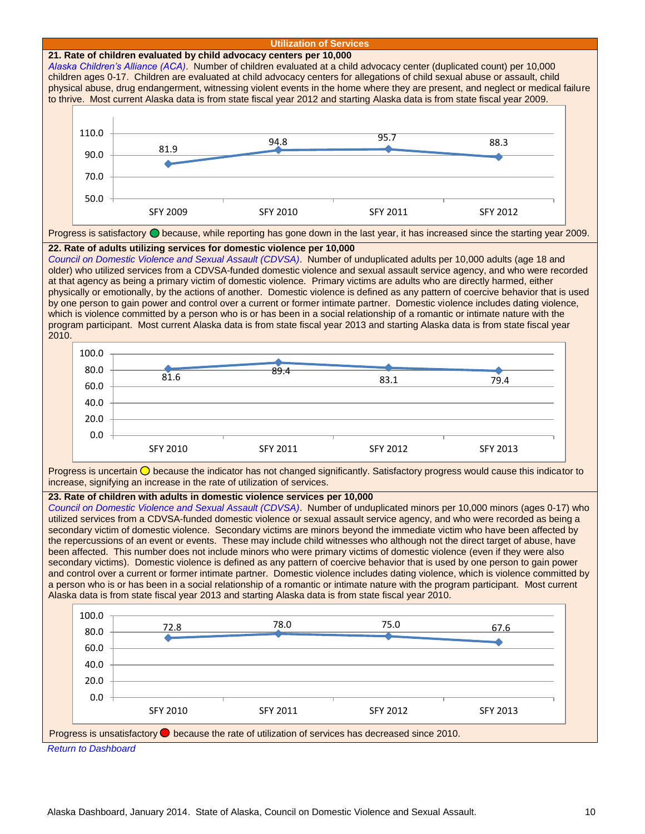<span id="page-9-2"></span><span id="page-9-1"></span><span id="page-9-0"></span>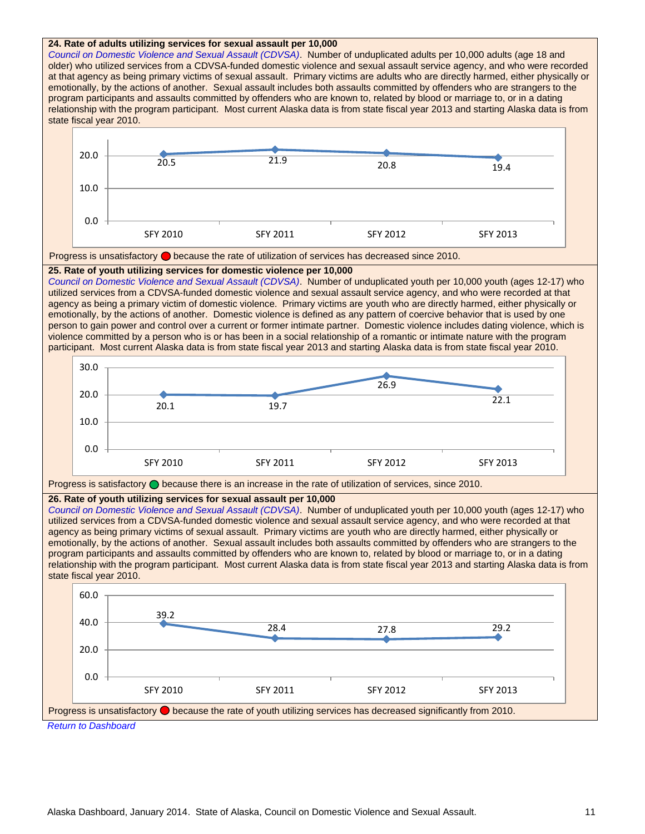<span id="page-10-2"></span><span id="page-10-1"></span><span id="page-10-0"></span>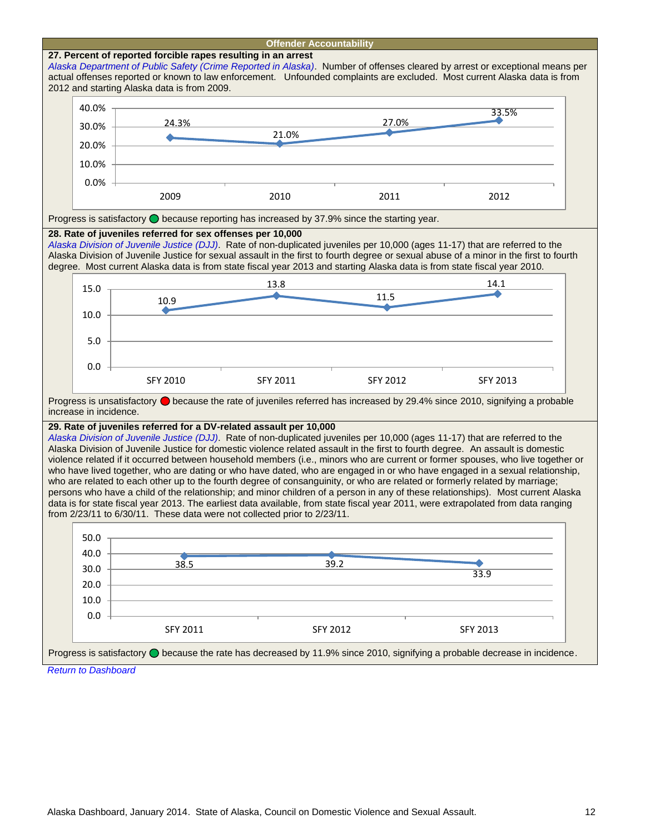<span id="page-11-2"></span><span id="page-11-1"></span><span id="page-11-0"></span>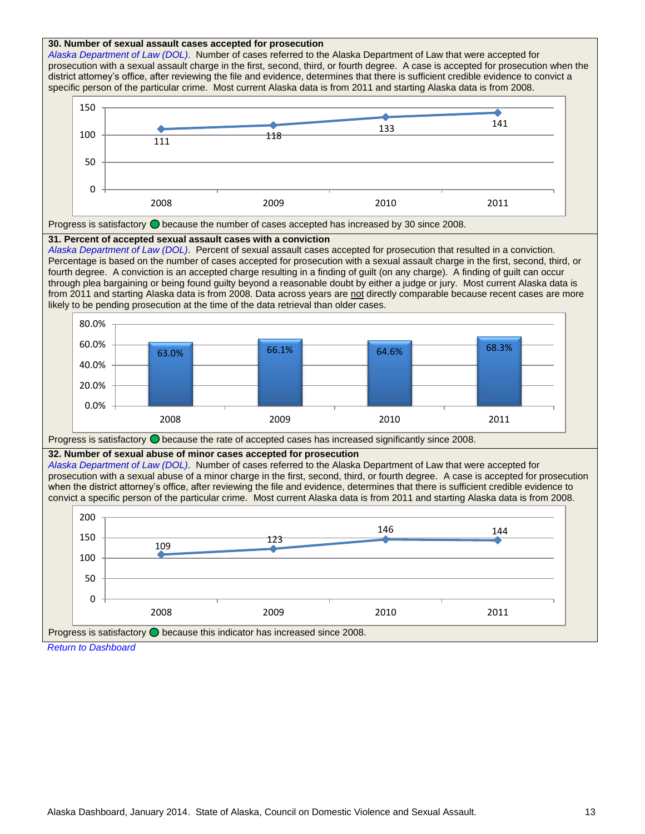<span id="page-12-1"></span><span id="page-12-0"></span>

<span id="page-12-2"></span>*[Return to Dashboard](#page-1-2)*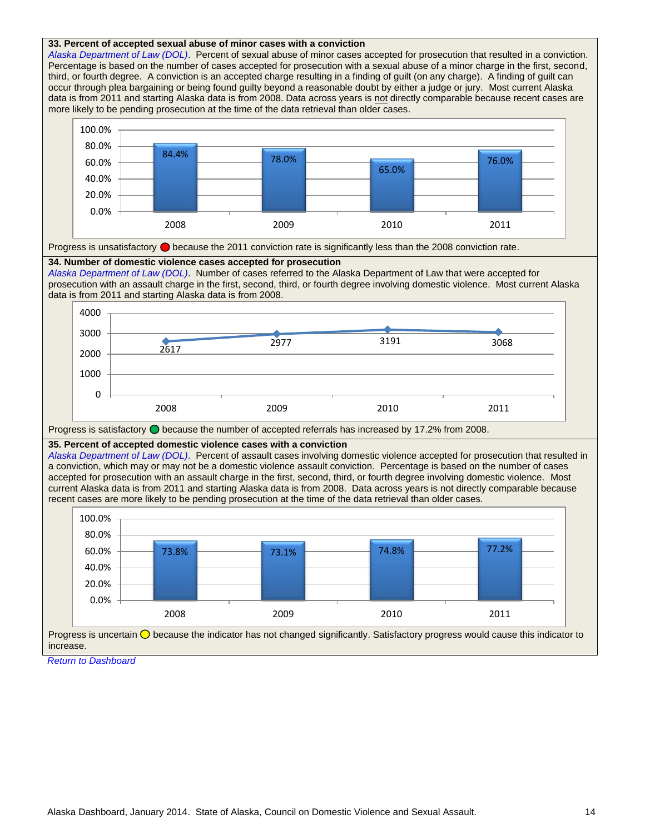<span id="page-13-2"></span><span id="page-13-1"></span><span id="page-13-0"></span>